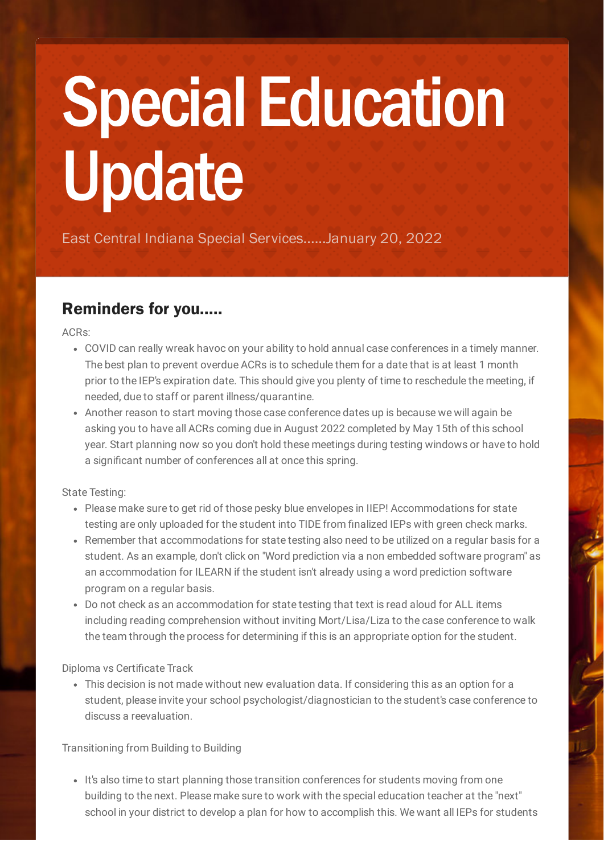# Special Education Update

East Central Indiana Special Services......January 20, 2022

## Reminders for you.....

ACRs:

- COVID can really wreak havoc on your ability to hold annual case conferences in a timely manner. The best plan to prevent overdue ACRs is to schedule them for a date that is at least 1 month prior to the IEP's expiration date. This should give you plenty of time to reschedule the meeting, if needed, due to staff or parent illness/quarantine.
- Another reason to start moving those case conference dates up is because we will again be asking you to have all ACRs coming due in August 2022 completed by May 15th of this school year. Start planning now so you don't hold these meetings during testing windows or have to hold a significant number of conferences all at once this spring.

State Testing:

- Please make sure to get rid of those pesky blue envelopes in IIEP! Accommodations for state testing are only uploaded for the student into TIDE from finalized IEPs with green check marks.
- Remember that accommodations for state testing also need to be utilized on a regular basis for a student. As an example, don't click on "Word prediction via a non embedded software program" as an accommodation for ILEARN if the student isn't already using a word prediction software program on a regular basis.
- Do not check as an accommodation for state testing that text is read aloud for ALL items including reading comprehension without inviting Mort/Lisa/Liza to the case conference to walk the team through the process for determining if this is an appropriate option for the student.

Diploma vs Certificate Track

This decision is not made without new evaluation data. If considering this as an option for a student, please invite your school psychologist/diagnostician to the student's case conference to discuss a reevaluation.

Transitioning from Building to Building

• It's also time to start planning those transition conferences for students moving from one building to the next. Please make sure to work with the special education teacher at the "next" school in your district to develop a plan for how to accomplish this. We want all IEPs for students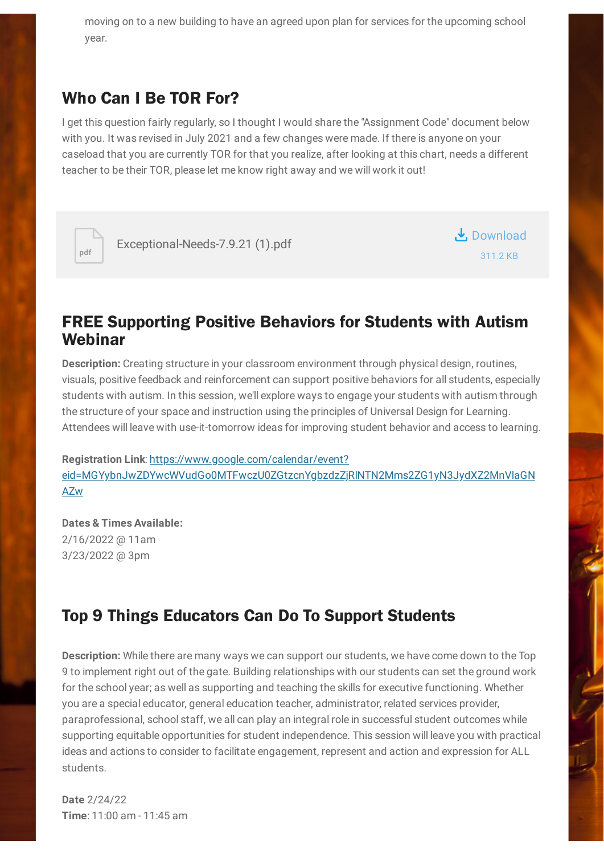moving on to a new building to have an agreed upon plan for services for the upcoming school year.

#### Who Can I Be TOR For?

I get this question fairly regularly, so I thought I would share the "Assignment Code" document below with you. It was revised in July 2021 and a few changes were made. If there is anyone on your caseload that you are currently TOR for that you realize, after looking at this chart, needs a different teacher to be their TOR, please let me know right away and we will work it out!



[Exceptional-Needs-7.9.21](https://www.smore.com/app/attachments/download/61df25a98ad1d2596bcef2d5) (1).pdf



#### FREE Supporting Positive Behaviors for Students with Autism Webinar

**Description:** Creating structure in your classroom environment through physical design, routines, visuals, positive feedback and reinforcement can support positive behaviors for all students, especially students with autism. In this session, we'll explore ways to engage your students with autism through the structure of your space and instruction using the principles of Universal Design for Learning. Attendees will leave with use-it-tomorrow ideas for improving student behavior and access to learning.

**Registration Link**: https://www.google.com/calendar/event? [eid=MGYybnJwZDYwcWVudGo0MTFwczU0ZGtzcnYgbzdzZjRlNTN2Mms2ZG1yN3JydXZ2MnVlaGN](https://www.google.com/calendar/event?eid=MGYybnJwZDYwcWVudGo0MTFwczU0ZGtzcnYgbzdzZjRlNTN2Mms2ZG1yN3JydXZ2MnVlaGNAZw) AZw

**Dates & Times Available:** 2/16/2022 @ 11am 3/23/2022 @ 3pm

### Top 9 Things Educators Can Do To Support Students

**Description:** While there are many ways we can support our students, we have come down to the Top 9 to implement right out of the gate. Building relationships with our students can set the ground work for the school year; as well as supporting and teaching the skills for executive functioning. Whether you are a special educator, general education teacher, administrator, related services provider, paraprofessional, school staff, we all can play an integral role in successful student outcomes while supporting equitable opportunities for student independence. This session will leave you with practical ideas and actions to consider to facilitate engagement, represent and action and expression for ALL students.

**Date** 2/24/22 **Time**: 11:00 am - 11:45 am